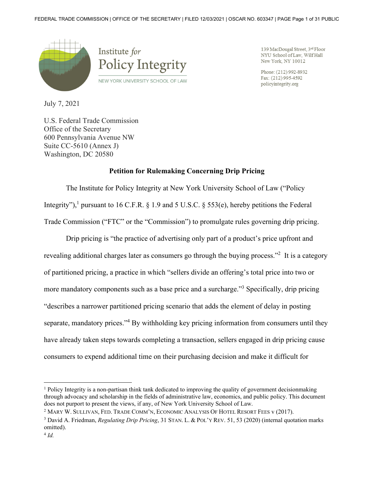

139 MacDougal Street, 3rd Floor NYU School of Law, Wilf Hall New York, NY 10012

Phone: (212) 992-8932 Fax: (212) 995-4592 policyintegrity.org

July 7, 2021

U.S. Federal Trade Commission Office of the Secretary 600 Pennsylvania Avenue NW Suite CC-5610 (Annex J) Washington, DC 20580

### **Petition for Rulemaking Concerning Drip Pricing**

The Institute for Policy Integrity at New York University School of Law ("Policy Integrity"),<sup>1</sup> pursuant to 16 C.F.R. § 1.9 and 5 U.S.C. § 553(e), hereby petitions the Federal Trade Commission ("FTC" or the "Commission") to promulgate rules governing drip pricing.

Drip pricing is "the practice of advertising only part of a product's price upfront and revealing additional charges later as consumers go through the buying process."<sup>2</sup> It is a category of partitioned pricing, a practice in which "sellers divide an offering's total price into two or more mandatory components such as a base price and a surcharge."<sup>3</sup> Specifically, drip pricing "describes a narrower partitioned pricing scenario that adds the element of delay in posting separate, mandatory prices."<sup>4</sup> By withholding key pricing information from consumers until they have already taken steps towards completing a transaction, sellers engaged in drip pricing cause consumers to expend additional time on their purchasing decision and make it difficult for

<sup>&</sup>lt;sup>1</sup> Policy Integrity is a non-partisan think tank dedicated to improving the quality of government decisionmaking through advocacy and scholarship in the fields of administrative law, economics, and public policy. This document does not purport to present the views, if any, of New York University School of Law.

<sup>2</sup> MARY W. SULLIVAN, FED. TRADE COMM'N, ECONOMIC ANALYSIS OF HOTEL RESORT FEES v (2017).

<sup>3</sup> David A. Friedman, *Regulating Drip Pricing*, 31 STAN. L. & POL'Y REV. 51, 53 (2020) (internal quotation marks omitted).

<sup>4</sup> *Id.*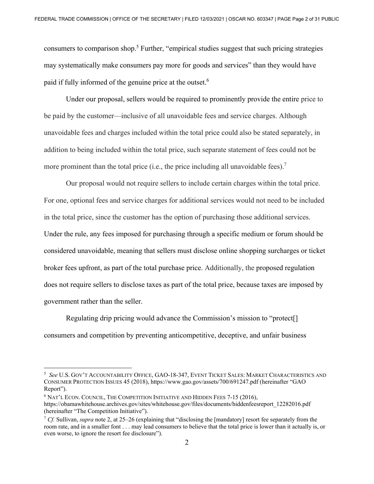consumers to comparison shop.<sup>5</sup> Further, "empirical studies suggest that such pricing strategies may systematically make consumers pay more for goods and services" than they would have paid if fully informed of the genuine price at the outset.<sup>6</sup>

Under our proposal, sellers would be required to prominently provide the entire price to be paid by the customer—inclusive of all unavoidable fees and service charges. Although unavoidable fees and charges included within the total price could also be stated separately, in addition to being included within the total price, such separate statement of fees could not be more prominent than the total price (i.e., the price including all unavoidable fees).<sup>7</sup>

Our proposal would not require sellers to include certain charges within the total price. For one, optional fees and service charges for additional services would not need to be included in the total price, since the customer has the option of purchasing those additional services. Under the rule, any fees imposed for purchasing through a specific medium or forum should be considered unavoidable, meaning that sellers must disclose online shopping surcharges or ticket broker fees upfront, as part of the total purchase price. Additionally, the proposed regulation does not require sellers to disclose taxes as part of the total price, because taxes are imposed by government rather than the seller.

Regulating drip pricing would advance the Commission's mission to "protect[] consumers and competition by preventing anticompetitive, deceptive, and unfair business

<sup>5</sup> *See* U.S. GOV'T ACCOUNTABILITY OFFICE, GAO-18-347, EVENT TICKET SALES: MARKET CHARACTERISTICS AND CONSUMER PROTECTION ISSUES 45 (2018), https://www.gao.gov/assets/700/691247.pdf (hereinafter "GAO Report").

<sup>6</sup> NAT'L ECON. COUNCIL, THE COMPETITION INITIATIVE AND HIDDEN FEES 7-15 (2016), https://obamawhitehouse.archives.gov/sites/whitehouse.gov/files/documents/hiddenfeesreport\_12282016.pdf (hereinafter "The Competition Initiative").

<sup>7</sup> *Cf.* Sullivan, *supra* note 2, at 25–26 (explaining that "disclosing the [mandatory] resort fee separately from the room rate, and in a smaller font . . . may lead consumers to believe that the total price is lower than it actually is, or even worse, to ignore the resort fee disclosure").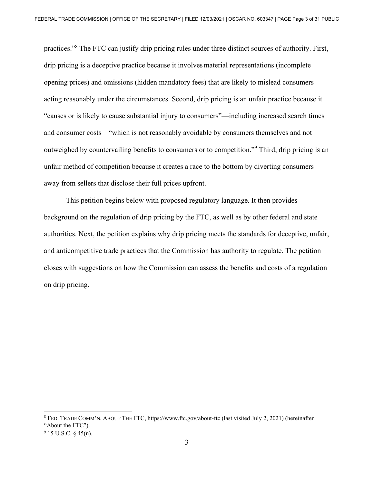practices."<sup>8</sup> The FTC can justify drip pricing rules under three distinct sources of authority. First, drip pricing is a deceptive practice because it involvesmaterial representations (incomplete opening prices) and omissions (hidden mandatory fees) that are likely to mislead consumers acting reasonably under the circumstances. Second, drip pricing is an unfair practice because it "causes or is likely to cause substantial injury to consumers"—including increased search times and consumer costs—"which is not reasonably avoidable by consumers themselves and not outweighed by countervailing benefits to consumers or to competition."<sup>9</sup> Third, drip pricing is an unfair method of competition because it creates a race to the bottom by diverting consumers away from sellers that disclose their full prices upfront.

This petition begins below with proposed regulatory language. It then provides background on the regulation of drip pricing by the FTC, as well as by other federal and state authorities. Next, the petition explains why drip pricing meets the standards for deceptive, unfair, and anticompetitive trade practices that the Commission has authority to regulate. The petition closes with suggestions on how the Commission can assess the benefits and costs of a regulation on drip pricing.

<sup>8</sup> FED. TRADE COMM'N, ABOUT THE FTC, https://www.ftc.gov/about-ftc (last visited July 2, 2021) (hereinafter "About the FTC").

 $9$  15 U.S.C. § 45(n).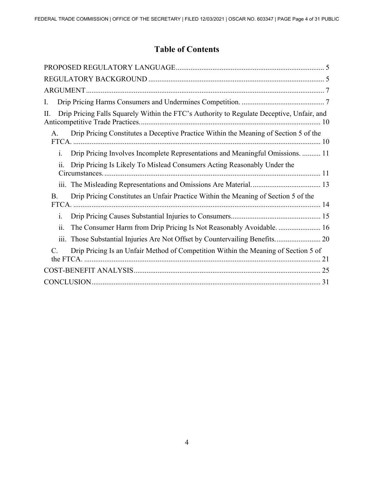# **Table of Contents**

| I.                                                                                                  |
|-----------------------------------------------------------------------------------------------------|
| Drip Pricing Falls Squarely Within the FTC's Authority to Regulate Deceptive, Unfair, and<br>П.     |
| Drip Pricing Constitutes a Deceptive Practice Within the Meaning of Section 5 of the<br>A.          |
| Drip Pricing Involves Incomplete Representations and Meaningful Omissions.  11<br>1.                |
| Drip Pricing Is Likely To Mislead Consumers Acting Reasonably Under the<br>$\overline{11}$ .        |
| 111.                                                                                                |
| Drip Pricing Constitutes an Unfair Practice Within the Meaning of Section 5 of the<br><b>B.</b>     |
| $\mathbf{i}$ .                                                                                      |
| ii.<br>The Consumer Harm from Drip Pricing Is Not Reasonably Avoidable.  16                         |
| 111.                                                                                                |
| Drip Pricing Is an Unfair Method of Competition Within the Meaning of Section 5 of<br>$\mathcal{C}$ |
|                                                                                                     |
|                                                                                                     |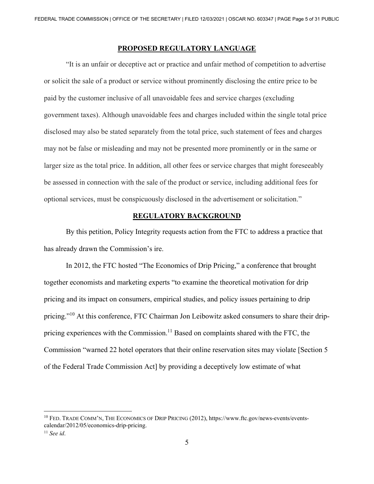# **PROPOSED REGULATORY LANGUAGE**

"It is an unfair or deceptive act or practice and unfair method of competition to advertise or solicit the sale of a product or service without prominently disclosing the entire price to be paid by the customer inclusive of all unavoidable fees and service charges (excluding government taxes). Although unavoidable fees and charges included within the single total price disclosed may also be stated separately from the total price, such statement of fees and charges may not be false or misleading and may not be presented more prominently or in the same or larger size as the total price. In addition, all other fees or service charges that might foreseeably be assessed in connection with the sale of the product or service, including additional fees for optional services, must be conspicuously disclosed in the advertisement or solicitation."

### **REGULATORY BACKGROUND**

By this petition, Policy Integrity requests action from the FTC to address a practice that has already drawn the Commission's ire.

In 2012, the FTC hosted "The Economics of Drip Pricing," a conference that brought together economists and marketing experts "to examine the theoretical motivation for drip pricing and its impact on consumers, empirical studies, and policy issues pertaining to drip pricing."<sup>10</sup> At this conference, FTC Chairman Jon Leibowitz asked consumers to share their drippricing experiences with the Commission.<sup>11</sup> Based on complaints shared with the FTC, the Commission "warned 22 hotel operators that their online reservation sites may violate [Section 5 of the Federal Trade Commission Act] by providing a deceptively low estimate of what

<sup>10</sup> FED. TRADE COMM'N, THE ECONOMICS OF DRIP PRICING (2012), https://www.ftc.gov/news-events/eventscalendar/2012/05/economics-drip-pricing.

<sup>11</sup> *See id*.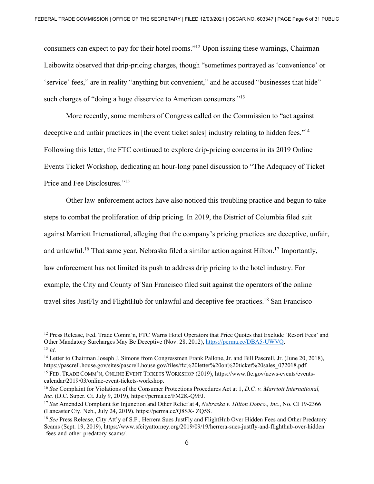consumers can expect to pay for their hotel rooms."12 Upon issuing these warnings, Chairman Leibowitz observed that drip-pricing charges, though "sometimes portrayed as 'convenience' or 'service' fees," are in reality "anything but convenient," and he accused "businesses that hide" such charges of "doing a huge disservice to American consumers."<sup>13</sup>

More recently, some members of Congress called on the Commission to "act against deceptive and unfair practices in [the event ticket sales] industry relating to hidden fees."<sup>14</sup> Following this letter, the FTC continued to explore drip-pricing concerns in its 2019 Online Events Ticket Workshop, dedicating an hour-long panel discussion to "The Adequacy of Ticket Price and Fee Disclosures."15

 Other law-enforcement actors have also noticed this troubling practice and begun to take steps to combat the proliferation of drip pricing. In 2019, the District of Columbia filed suit against Marriott International, alleging that the company's pricing practices are deceptive, unfair, and unlawful.<sup>16</sup> That same year, Nebraska filed a similar action against Hilton.<sup>17</sup> Importantly, law enforcement has not limited its push to address drip pricing to the hotel industry. For example, the City and County of San Francisco filed suit against the operators of the online travel sites JustFly and FlightHub for unlawful and deceptive fee practices.<sup>18</sup> San Francisco

<sup>&</sup>lt;sup>12</sup> Press Release, Fed. Trade Comm'n, FTC Warns Hotel Operators that Price Quotes that Exclude 'Resort Fees' and Other Mandatory Surcharges May Be Deceptive (Nov. 28, 2012),  $\frac{https://perma.co/DBA5-UWVQ}{https://perma.co/DBA5-UWVQ}$ .

<sup>&</sup>lt;sup>13</sup> *Id.* Chairman Joseph J. Simons from Congressmen Frank Pallone, Jr. and Bill Pascrell, Jr. (June 20, 2018), <sup>14</sup> Letter to Chairman Joseph J. Simons from Congressmen Frank Pallone, Jr. and Bill Pascrell, Jr. (June 20, https://pascrell.house.gov/sites/pascrell.house.gov/files/ftc%20letter%20on%20ticket%20sales\_072018.pdf.<br><sup>15</sup> FED. TRADE COMM'N, ONLINE EVENT TICKETS WORKSHOP (2019), https://www.ftc.gov/news-events/events-

calendar/2019/03/online-event-tickets-workshop.

<sup>16</sup> *See* Complaint for Violations of the Consumer Protections Procedures Act at 1, *D.C. v. Marriott International, Inc.* (D.C. Super. Ct. July 9, 2019), https://perma.cc/FM2K-Q9FJ.<br><sup>17</sup> *See* Amended Complaint for Injunction and Other Relief at 4, *Nebraska v. Hilton Dopco., Inc.*, No. CI 19-2366

<sup>(</sup>Lancaster Cty. Neb., July 24, 2019), https://perma.cc/Q8SX- ZQ5S. 18 *See* Press Release, City Att'y of S.F., Herrera Sues JustFly and FlightHub Over Hidden Fees and Other Predatory

Scams (Sept. 19, 2019), https://www.sfcityattorney.org/2019/09/19/herrera-sues-justfly-and-flighthub-over-hidden -fees-and-other-predatory-scams/.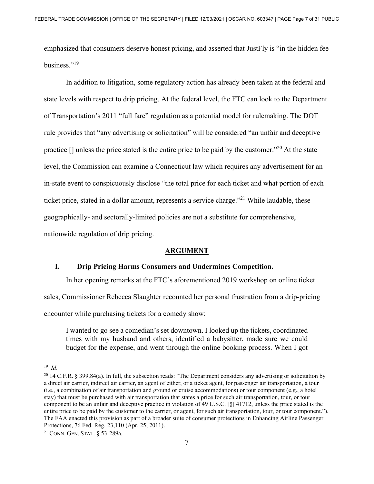emphasized that consumers deserve honest pricing, and asserted that JustFly is "in the hidden fee business."19

In addition to litigation, some regulatory action has already been taken at the federal and state levels with respect to drip pricing. At the federal level, the FTC can look to the Department of Transportation's 2011 "full fare" regulation as a potential model for rulemaking. The DOT rule provides that "any advertising or solicitation" will be considered "an unfair and deceptive practice  $\Box$  unless the price stated is the entire price to be paid by the customer."<sup>20</sup> At the state level, the Commission can examine a Connecticut law which requires any advertisement for an in-state event to conspicuously disclose "the total price for each ticket and what portion of each ticket price, stated in a dollar amount, represents a service charge."<sup>21</sup> While laudable, these geographically- and sectorally-limited policies are not a substitute for comprehensive, nationwide regulation of drip pricing.

#### **ARGUMENT**

#### **I. Drip Pricing Harms Consumers and Undermines Competition.**

In her opening remarks at the FTC's aforementioned 2019 workshop on online ticket

sales, Commissioner Rebecca Slaughter recounted her personal frustration from a drip-pricing

encounter while purchasing tickets for a comedy show:

I wanted to go see a comedian's set downtown. I looked up the tickets, coordinated times with my husband and others, identified a babysitter, made sure we could budget for the expense, and went through the online booking process. When I got

<sup>&</sup>lt;sup>19</sup> *Id*.<br><sup>20</sup> 14 C.F.R. § 399.84(a). In full, the subsection reads: "The Department considers any advertising or solicitation by a direct air carrier, indirect air carrier, an agent of either, or a ticket agent, for passenger air transportation, a tour (i.e., a combination of air transportation and ground or cruise accommodations) or tour component (e.g., a hotel stay) that must be purchased with air transportation that states a price for such air transportation, tour, or tour component to be an unfair and deceptive practice in violation of 49 U.S.C. [§] 41712, unless the price stated is the entire price to be paid by the customer to the carrier, or agent, for such air transportation, tour, or tour component."). The FAA enacted this provision as part of a broader suite of consumer protections in Enhancing Airline Passenger Protections, 76 Fed. Reg. 23,110 (Apr. 25, 2011).

<sup>21</sup> CONN. GEN. STAT. § 53-289a.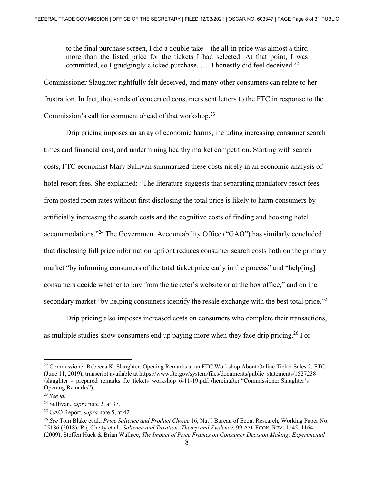to the final purchase screen, I did a double take—the all-in price was almost a third more than the listed price for the tickets I had selected. At that point, I was committed, so I grudgingly clicked purchase.  $\ldots$  I honestly did feel deceived.<sup>22</sup>

Commissioner Slaughter rightfully felt deceived, and many other consumers can relate to her frustration. In fact, thousands of concerned consumers sent letters to the FTC in response to the Commission's call for comment ahead of that workshop.23

 Drip pricing imposes an array of economic harms, including increasing consumer search times and financial cost, and undermining healthy market competition. Starting with search costs, FTC economist Mary Sullivan summarized these costs nicely in an economic analysis of hotel resort fees. She explained: "The literature suggests that separating mandatory resort fees from posted room rates without first disclosing the total price is likely to harm consumers by artificially increasing the search costs and the cognitive costs of finding and booking hotel accommodations."24 The Government Accountability Office ("GAO") has similarly concluded that disclosing full price information upfront reduces consumer search costs both on the primary market "by informing consumers of the total ticket price early in the process" and "help[ing] consumers decide whether to buy from the ticketer's website or at the box office," and on the secondary market "by helping consumers identify the resale exchange with the best total price."<sup>25</sup>

Drip pricing also imposes increased costs on consumers who complete their transactions, as multiple studies show consumers end up paying more when they face drip pricing.<sup>26</sup> For

<sup>&</sup>lt;sup>22</sup> Commissioner Rebecca K. Slaughter, Opening Remarks at an FTC Workshop About Online Ticket Sales 2, FTC (June 11, 2019), transcript available at https://www.ftc.gov/system/files/documents/public\_statements/1527238 /slaughter\_-\_prepared\_remarks\_ftc\_tickets\_workshop\_6-11-19.pdf. (hereinafter "Commissioner Slaughter's Opening Remarks").

<sup>23</sup> *See id.*

<sup>24</sup> Sullivan, *supra* note 2, at 37.

<sup>25</sup> GAO Report, *supra* note 5, at 42.

<sup>26</sup> *See* Tom Blake et al., *Price Salience and Product Choice* 16, Nat'l Bureau of Econ. Research, Working Paper No. 25186 (2018); Raj Chetty et al., *Salience and Taxation: Theory and Evidence*, 99 AM. ECON. REV. 1145, 1164 (2009); Steffen Huck & Brian Wallace, *The Impact of Price Frames on Consumer Decision Making: Experimental*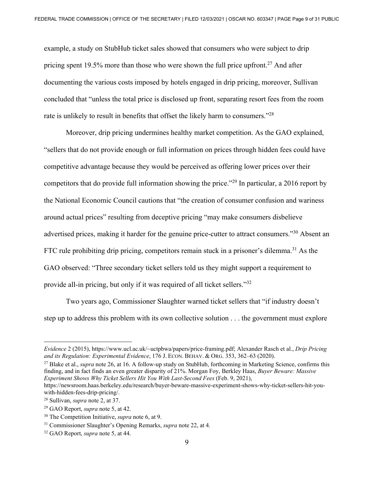example, a study on StubHub ticket sales showed that consumers who were subject to drip pricing spent 19.5% more than those who were shown the full price upfront.<sup>27</sup> And after documenting the various costs imposed by hotels engaged in drip pricing, moreover, Sullivan concluded that "unless the total price is disclosed up front, separating resort fees from the room rate is unlikely to result in benefits that offset the likely harm to consumers."<sup>28</sup>

 Moreover, drip pricing undermines healthy market competition. As the GAO explained, "sellers that do not provide enough or full information on prices through hidden fees could have competitive advantage because they would be perceived as offering lower prices over their competitors that do provide full information showing the price."29 In particular, a 2016 report by the National Economic Council cautions that "the creation of consumer confusion and wariness around actual prices" resulting from deceptive pricing "may make consumers disbelieve advertised prices, making it harder for the genuine price-cutter to attract consumers."30 Absent an FTC rule prohibiting drip pricing, competitors remain stuck in a prisoner's dilemma.<sup>31</sup> As the GAO observed: "Three secondary ticket sellers told us they might support a requirement to provide all-in pricing, but only if it was required of all ticket sellers."32

Two years ago, Commissioner Slaughter warned ticket sellers that "if industry doesn't step up to address this problem with its own collective solution . . . the government must explore

<sup>27</sup> Blake et al., *supra* note 26, at 16. A follow-up study on StubHub, forthcoming in Marketing Science, confirms this finding, and in fact finds an even greater disparity of 21%. Morgan Foy, Berkley Haas, *Buyer Beware: Massive Experiment Shows Why Ticket Sellers Hit You With Last-Second Fees* (Feb. 9, 2021),

*Evidence* 2 (2015), https://www.ucl.ac.uk/~uctpbwa/papers/price-framing.pdf; Alexander Rasch et al., *Drip Pricing* 

https://newsroom.haas.berkeley.edu/research/buyer-beware-massive-experiment-shows-why-ticket-sellers-hit-youwith-hidden-fees-drip-pricing/.

<sup>28</sup> Sullivan, *supra* note 2, at 37.

<sup>&</sup>lt;sup>29</sup> GAO Report, *supra* note 5, at 42.<br><sup>30</sup> The Competition Initiative, *supra* note 6, at 9.<br><sup>31</sup> Commissioner Slaughter's Opening Remarks, *supra* note 22, at 4.<br><sup>32</sup> GAO Report, *supra* note 5, at 44.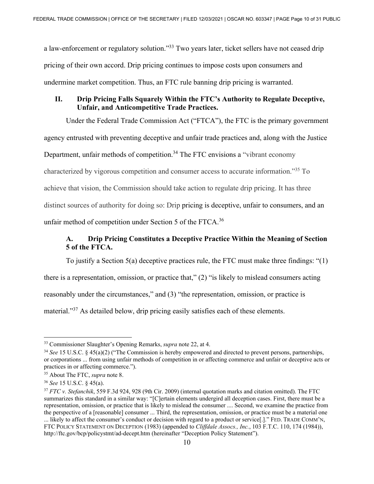a law-enforcement or regulatory solution."<sup>33</sup> Two years later, ticket sellers have not ceased drip pricing of their own accord. Drip pricing continues to impose costs upon consumers and undermine market competition. Thus, an FTC rule banning drip pricing is warranted.

# **II. Drip Pricing Falls Squarely Within the FTC's Authority to Regulate Deceptive, Unfair, and Anticompetitive Trade Practices.**

Under the Federal Trade Commission Act ("FTCA"), the FTC is the primary government

agency entrusted with preventing deceptive and unfair trade practices and, along with the Justice

Department, unfair methods of competition.<sup>34</sup> The FTC envisions a "vibrant economy"

characterized by vigorous competition and consumer access to accurate information."35 To

achieve that vision, the Commission should take action to regulate drip pricing. It has three

distinct sources of authority for doing so: Drip pricing is deceptive, unfair to consumers, and an

unfair method of competition under Section 5 of the FTCA.<sup>36</sup>

# **A. Drip Pricing Constitutes a Deceptive Practice Within the Meaning of Section 5 of the FTCA.**

To justify a Section 5(a) deceptive practices rule, the FTC must make three findings: "(1)

there is a representation, omission, or practice that," (2) "is likely to mislead consumers acting

reasonably under the circumstances," and (3) "the representation, omission, or practice is

material."37 As detailed below, drip pricing easily satisfies each of these elements.

<sup>&</sup>lt;sup>33</sup> Commissioner Slaughter's Opening Remarks, *supra* note 22, at 4.<br><sup>34</sup> *See* 15 U.S.C. § 45(a)(2) ("The Commission is hereby empowered and directed to prevent persons, partnerships, or corporations ... from using unfair methods of competition in or affecting commerce and unfair or deceptive acts or practices in or affecting commerce.").

<sup>&</sup>lt;sup>35</sup> About The FTC, *supra* note 8.<br><sup>36</sup> *See* 15 U.S.C. § 45(a).<br><sup>37</sup> *FTC v. Stefanchik*, 559 F.3d 924, 928 (9th Cir. 2009) (internal quotation marks and citation omitted). The FTC summarizes this standard in a similar way: "[C]ertain elements undergird all deception cases. First, there must be a representation, omission, or practice that is likely to mislead the consumer .... Second, we examine the practice from the perspective of a [reasonable] consumer ... Third, the representation, omission, or practice must be a material one ... likely to affect the consumer's conduct or decision with regard to a product or service[.]." FED. TRADE COMM'N, FTC POLICY STATEMENT ON DECEPTION (1983) (appended to *Cliffdale Assocs., Inc.*, 103 F.T.C. 110, 174 (1984)), http://ftc.gov/bcp/policystmt/ad-decept.htm (hereinafter "Deception Policy Statement").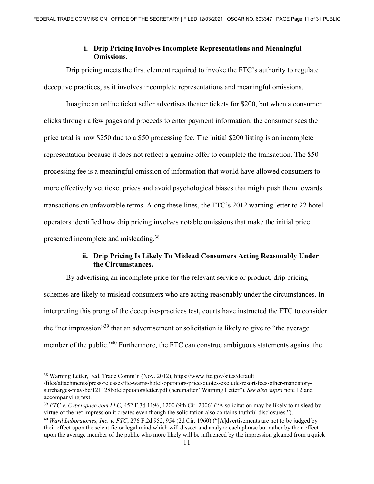# **i. Drip Pricing Involves Incomplete Representations and Meaningful Omissions.**

Drip pricing meets the first element required to invoke the FTC's authority to regulate deceptive practices, as it involves incomplete representations and meaningful omissions.

Imagine an online ticket seller advertises theater tickets for \$200, but when a consumer clicks through a few pages and proceeds to enter payment information, the consumer sees the price total is now \$250 due to a \$50 processing fee. The initial \$200 listing is an incomplete representation because it does not reflect a genuine offer to complete the transaction. The \$50 processing fee is a meaningful omission of information that would have allowed consumers to more effectively vet ticket prices and avoid psychological biases that might push them towards transactions on unfavorable terms. Along these lines, the FTC's 2012 warning letter to 22 hotel operators identified how drip pricing involves notable omissions that make the initial price presented incomplete and misleading.38

# **ii. Drip Pricing Is Likely To Mislead Consumers Acting Reasonably Under the Circumstances.**

 By advertising an incomplete price for the relevant service or product, drip pricing schemes are likely to mislead consumers who are acting reasonably under the circumstances. In interpreting this prong of the deceptive-practices test, courts have instructed the FTC to consider the "net impression"39 that an advertisement or solicitation is likely to give to "the average member of the public."<sup>40</sup> Furthermore, the FTC can construe ambiguous statements against the

<sup>38</sup> Warning Letter, Fed. Trade Comm'n (Nov. 2012), https://www.ftc.gov/sites/default

<sup>/</sup>files/attachments/press-releases/ftc-warns-hotel-operators-price-quotes-exclude-resort-fees-other-mandatorysurcharges-may-be/121128hoteloperatorsletter.pdf (hereinafter "Warning Letter"). *See also supra* note 12 and accompanying text.

<sup>39</sup> *FTC v. Cyberspace.com LLC,* 452 F.3d 1196, 1200 (9th Cir. 2006) ("A solicitation may be likely to mislead by virtue of the net impression it creates even though the solicitation also contains truthful disclosures.").

<sup>40</sup> *Ward Laboratories, Inc. v. FTC*, 276 F.2d 952, 954 (2d Cir. 1960) ("[A]dvertisements are not to be judged by their effect upon the scientific or legal mind which will dissect and analyze each phrase but rather by their effect upon the average member of the public who more likely will be influenced by the impression gleaned from a quick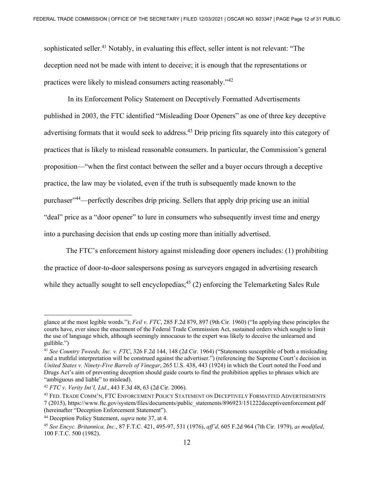sophisticated seller.<sup>41</sup> Notably, in evaluating this effect, seller intent is not relevant: "The deception need not be made with intent to deceive; it is enough that the representations or practices were likely to mislead consumers acting reasonably."42

 In its Enforcement Policy Statement on Deceptively Formatted Advertisements published in 2003, the FTC identified "Misleading Door Openers" as one of three key deceptive advertising formats that it would seek to address.<sup>43</sup> Drip pricing fits squarely into this category of practices that is likely to mislead reasonable consumers. In particular, the Commission's general proposition—"when the first contact between the seller and a buyer occurs through a deceptive practice, the law may be violated, even if the truth is subsequently made known to the purchaser"44—perfectly describes drip pricing. Sellers that apply drip pricing use an initial "deal" price as a "door opener" to lure in consumers who subsequently invest time and energy into a purchasing decision that ends up costing more than initially advertised.

The FTC's enforcement history against misleading door openers includes: (1) prohibiting the practice of door-to-door salespersons posing as surveyors engaged in advertising research while they actually sought to sell encyclopedias;<sup>45</sup> (2) enforcing the Telemarketing Sales Rule

glance at the most legible words."); *Feil v. FTC*, 285 F.2d 879, 897 (9th Cir. 1960) ("In applying these principles the courts have, ever since the enactment of the Federal Trade Commission Act, sustained orders which sought to limit the use of language which, although seemingly innocuous to the expert was likely to deceive the unlearned and gullible.")

<sup>41</sup> *See Country Tweeds, Inc. v. FTC*, 326 F.2d 144, 148 (2d Cir. 1964) ("Statements susceptible of both a misleading and a truthful interpretation will be construed against the advertiser.") (referencing the Supreme Court's decision in *United States v. Ninety-Five Barrels of Vinegar*, 265 U.S. 438, 443 (1924) in which the Court noted the Food and Drugs Act's aim of preventing deception should guide courts to find the prohibition applies to phrases which are "ambiguous and liable" to mislead).

<sup>&</sup>lt;sup>42</sup> *FTC v. Verity Int'l, Ltd.*, 443 F.3d 48, 63 (2d Cir. 2006).<br><sup>43</sup> Fed. Trade Comm'n, FTC Enforcement Policy Statement on Deceptively Formatted Advertisements 7 (2015), https://www.ftc.gov/system/files/documents/public\_statements/896923/151222deceptiveenforcement.pdf

<sup>&</sup>lt;sup>44</sup> Deception Policy Statement, *supra* note 37, at 4.<br><sup>45</sup> See Encvc. Britannica, Inc., 87 F.T.C. 421, 495-97, 531 (1976), aff'd, 605 F.2d 964 (7th Cir. 1979), as modified, 100 F.T.C. 500 (1982).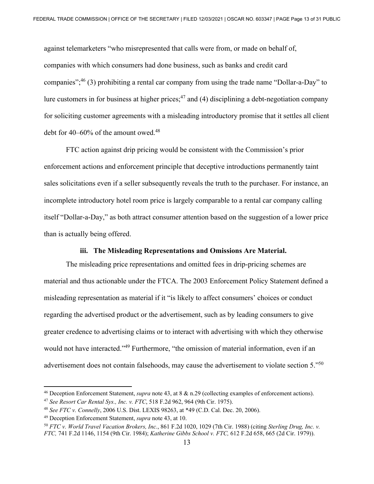against telemarketers "who misrepresented that calls were from, or made on behalf of, companies with which consumers had done business, such as banks and credit card companies"; $^{46}$  (3) prohibiting a rental car company from using the trade name "Dollar-a-Day" to lure customers in for business at higher prices;<sup>47</sup> and (4) disciplining a debt-negotiation company for soliciting customer agreements with a misleading introductory promise that it settles all client debt for  $40-60\%$  of the amount owed.<sup>48</sup>

FTC action against drip pricing would be consistent with the Commission's prior enforcement actions and enforcement principle that deceptive introductions permanently taint sales solicitations even if a seller subsequently reveals the truth to the purchaser. For instance, an incomplete introductory hotel room price is largely comparable to a rental car company calling itself "Dollar-a-Day," as both attract consumer attention based on the suggestion of a lower price than is actually being offered.

#### **iii. The Misleading Representations and Omissions Are Material.**

 The misleading price representations and omitted fees in drip-pricing schemes are material and thus actionable under the FTCA. The 2003 Enforcement Policy Statement defined a misleading representation as material if it "is likely to affect consumers' choices or conduct regarding the advertised product or the advertisement, such as by leading consumers to give greater credence to advertising claims or to interact with advertising with which they otherwise would not have interacted."<sup>49</sup> Furthermore, "the omission of material information, even if an advertisement does not contain falsehoods, may cause the advertisement to violate section 5."50

<sup>46</sup> Deception Enforcement Statement, *supra* note 43, at 8 & n.29 (collecting examples of enforcement actions).

<sup>47</sup> *See Resort Car Rental Sys., Inc. v. FTC*, 518 F.2d 962, 964 (9th Cir. 1975).

<sup>48</sup> *See FTC v. Connelly*, 2006 U.S. Dist. LEXIS 98263, at \*49 (C.D. Cal. Dec. 20, 2006).

<sup>49</sup> Deception Enforcement Statement, *supra* note 43, at 10. 50 *FTC v. World Travel Vacation Brokers, Inc.*, 861 F.2d 1020, 1029 (7th Cir. 1988) (citing *Sterling Drug, Inc. v. FTC,* 741 F.2d 1146, 1154 (9th Cir. 1984); *Katherine Gibbs School v. FTC,* 612 F.2d 658, 665 (2d Cir. 1979)).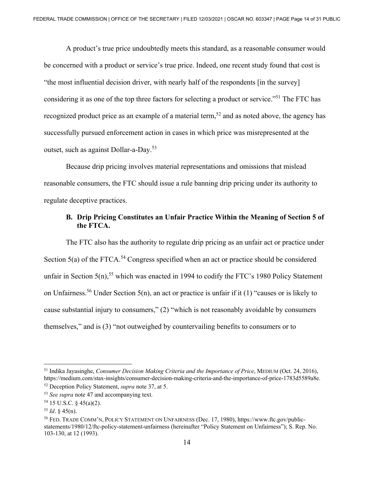A product's true price undoubtedly meets this standard, as a reasonable consumer would be concerned with a product or service's true price. Indeed, one recent study found that cost is "the most influential decision driver, with nearly half of the respondents [in the survey] considering it as one of the top three factors for selecting a product or service."51 The FTC has recognized product price as an example of a material term,<sup>52</sup> and as noted above, the agency has successfully pursued enforcement action in cases in which price was misrepresented at the outset, such as against Dollar-a-Day.53

 Because drip pricing involves material representations and omissions that mislead reasonable consumers, the FTC should issue a rule banning drip pricing under its authority to regulate deceptive practices.

### **B. Drip Pricing Constitutes an Unfair Practice Within the Meaning of Section 5 of the FTCA.**

The FTC also has the authority to regulate drip pricing as an unfair act or practice under Section  $5(a)$  of the FTCA.<sup>54</sup> Congress specified when an act or practice should be considered unfair in Section  $5(n)$ ,<sup>55</sup> which was enacted in 1994 to codify the FTC's 1980 Policy Statement on Unfairness.<sup>56</sup> Under Section 5(n), an act or practice is unfair if it (1) "causes or is likely to cause substantial injury to consumers," (2) "which is not reasonably avoidable by consumers themselves," and is (3) "not outweighed by countervailing benefits to consumers or to

<sup>51</sup> Indika Jayasinghe, *Consumer Decision Making Criteria and the Importance of Price*, MEDIUM (Oct. 24, 2016), https://medium.com/stax-insights/consumer-decision-making-criteria-and-the-importance-of-price-1783d5589a8e.<br><sup>52</sup> Deception Policy Statement, *supra* note 37, at 5.<br><sup>53</sup> See supra note 47 and accompanying text.<br><sup>54</sup> 15 U.S

<sup>55</sup> *Id*. § 45(n).

<sup>56</sup> FED. TRADE COMM'N, POLICY STATEMENT ON UNFAIRNESS (Dec. 17, 1980), https://www.ftc.gov/publicstatements/1980/12/ftc-policy-statement-unfairness (hereinafter "Policy Statement on Unfairness"); S. Rep. No. 103-130, at 12 (1993).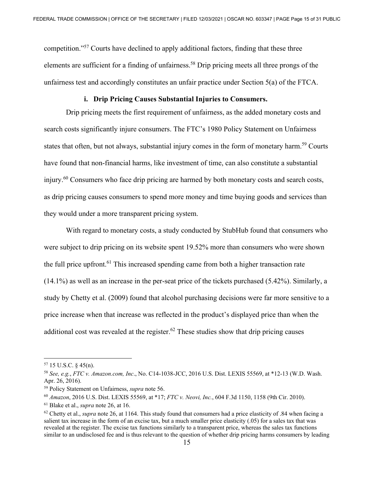competition."57 Courts have declined to apply additional factors, finding that these three elements are sufficient for a finding of unfairness.<sup>58</sup> Drip pricing meets all three prongs of the unfairness test and accordingly constitutes an unfair practice under Section 5(a) of the FTCA.

### **i. Drip Pricing Causes Substantial Injuries to Consumers.**

 Drip pricing meets the first requirement of unfairness, as the added monetary costs and search costs significantly injure consumers. The FTC's 1980 Policy Statement on Unfairness states that often, but not always, substantial injury comes in the form of monetary harm.<sup>59</sup> Courts have found that non-financial harms, like investment of time, can also constitute a substantial injury.<sup>60</sup> Consumers who face drip pricing are harmed by both monetary costs and search costs, as drip pricing causes consumers to spend more money and time buying goods and services than they would under a more transparent pricing system.

With regard to monetary costs, a study conducted by StubHub found that consumers who were subject to drip pricing on its website spent 19.52% more than consumers who were shown the full price upfront.<sup>61</sup> This increased spending came from both a higher transaction rate (14.1%) as well as an increase in the per-seat price of the tickets purchased (5.42%). Similarly, a study by Chetty et al. (2009) found that alcohol purchasing decisions were far more sensitive to a price increase when that increase was reflected in the product's displayed price than when the additional cost was revealed at the register.<sup>62</sup> These studies show that drip pricing causes

 $57$  15 U.S.C. § 45(n).

<sup>58</sup> *See, e.g.*, *FTC v. Amazon.com, Inc*., No. C14-1038-JCC, 2016 U.S. Dist. LEXIS 55569, at \*12-13 (W.D. Wash. Apr. 26, 2016).

<sup>59</sup> Policy Statement on Unfairness, *supra* note 56.

<sup>60</sup> *Amazon*, 2016 U.S. Dist. LEXIS 55569, at \*17; *FTC v. Neovi, Inc.*, 604 F.3d 1150, 1158 (9th Cir. 2010).

<sup>&</sup>lt;sup>61</sup> Blake et al., *supra* note 26, at 16.<br><sup>62</sup> Chetty et al., *supra* note 26, at 1164. This study found that consumers had a price elasticity of .84 when facing a salient tax increase in the form of an excise tax, but a much smaller price elasticity (.05) for a sales tax that was revealed at the register. The excise tax functions similarly to a transparent price, whereas the sales tax functions similar to an undisclosed fee and is thus relevant to the question of whether drip pricing harms consumers by leading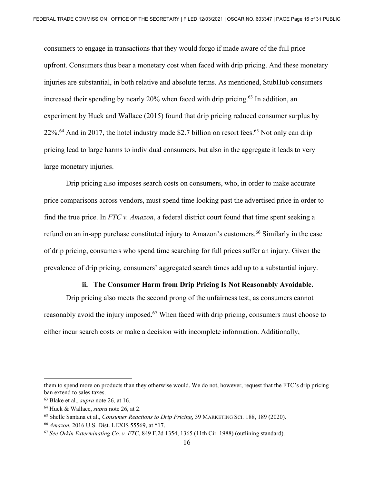consumers to engage in transactions that they would forgo if made aware of the full price upfront. Consumers thus bear a monetary cost when faced with drip pricing. And these monetary injuries are substantial, in both relative and absolute terms. As mentioned, StubHub consumers increased their spending by nearly  $20\%$  when faced with drip pricing.<sup>63</sup> In addition, an experiment by Huck and Wallace (2015) found that drip pricing reduced consumer surplus by  $22\%^{64}$  And in 2017, the hotel industry made \$2.7 billion on resort fees.<sup>65</sup> Not only can drip pricing lead to large harms to individual consumers, but also in the aggregate it leads to very large monetary injuries.

 Drip pricing also imposes search costs on consumers, who, in order to make accurate price comparisons across vendors, must spend time looking past the advertised price in order to find the true price. In *FTC v. Amazon*, a federal district court found that time spent seeking a refund on an in-app purchase constituted injury to Amazon's customers.<sup>66</sup> Similarly in the case of drip pricing, consumers who spend time searching for full prices suffer an injury. Given the prevalence of drip pricing, consumers' aggregated search times add up to a substantial injury.

#### **ii. The Consumer Harm from Drip Pricing Is Not Reasonably Avoidable.**

 Drip pricing also meets the second prong of the unfairness test, as consumers cannot reasonably avoid the injury imposed.<sup>67</sup> When faced with drip pricing, consumers must choose to either incur search costs or make a decision with incomplete information. Additionally,

them to spend more on products than they otherwise would. We do not, however, request that the FTC's drip pricing ban extend to sales taxes.

<sup>63</sup> Blake et al., *supra* note 26, at 16.

<sup>&</sup>lt;sup>64</sup> Huck & Wallace, *supra* note 26, at 2.<br><sup>65</sup> Shelle Santana et al., *Consumer Reactions to Drip Pricing*, 39 MARKETING SCI. 188, 189 (2020).<br><sup>66</sup> Amazon, 2016 U.S. Dist. LEXIS 55569, at \*17.<br><sup>67</sup> See Orkin Exterminati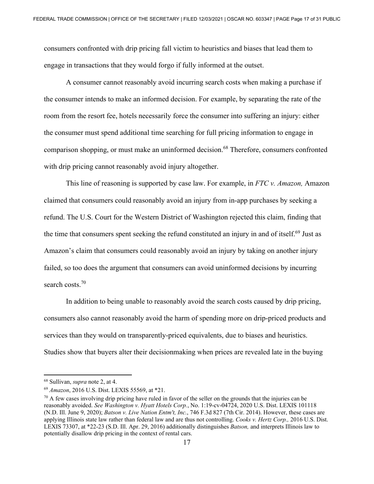consumers confronted with drip pricing fall victim to heuristics and biases that lead them to engage in transactions that they would forgo if fully informed at the outset.

A consumer cannot reasonably avoid incurring search costs when making a purchase if the consumer intends to make an informed decision. For example, by separating the rate of the room from the resort fee, hotels necessarily force the consumer into suffering an injury: either the consumer must spend additional time searching for full pricing information to engage in comparison shopping, or must make an uninformed decision.<sup>68</sup> Therefore, consumers confronted with drip pricing cannot reasonably avoid injury altogether.

This line of reasoning is supported by case law. For example, in *FTC v. Amazon,* Amazon claimed that consumers could reasonably avoid an injury from in-app purchases by seeking a refund. The U.S. Court for the Western District of Washington rejected this claim, finding that the time that consumers spent seeking the refund constituted an injury in and of itself.<sup>69</sup> Just as Amazon's claim that consumers could reasonably avoid an injury by taking on another injury failed, so too does the argument that consumers can avoid uninformed decisions by incurring search costs.<sup>70</sup>

 In addition to being unable to reasonably avoid the search costs caused by drip pricing, consumers also cannot reasonably avoid the harm of spending more on drip-priced products and services than they would on transparently-priced equivalents, due to biases and heuristics. Studies show that buyers alter their decisionmaking when prices are revealed late in the buying

<sup>&</sup>lt;sup>68</sup> Sullivan, *supra* note 2, at 4.<br><sup>69</sup> *Amazon*, 2016 U.S. Dist. LEXIS 55569, at \*21.<br><sup>70</sup> A few cases involving drip pricing have ruled in favor of the seller on the grounds that the injuries can be reasonably avoided. *See Washington v. Hyatt Hotels Corp.*, No. 1:19-cv-04724, 2020 U.S. Dist. LEXIS 101118 (N.D. Ill. June 9, 2020); *Batson v. Live Nation Entm't, Inc.*, 746 F.3d 827 (7th Cir. 2014). However, these cases are applying Illinois state law rather than federal law and are thus not controlling. *Cooks v. Hertz Corp.,* 2016 U.S. Dist. LEXIS 73307, at \*22-23 (S.D. Ill. Apr. 29, 2016) additionally distinguishes *Batson,* and interprets Illinois law to potentially disallow drip pricing in the context of rental cars.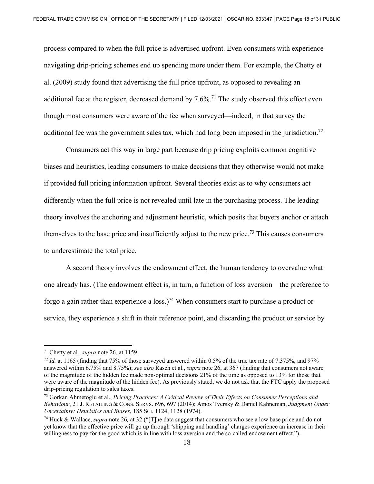process compared to when the full price is advertised upfront. Even consumers with experience navigating drip-pricing schemes end up spending more under them. For example, the Chetty et al. (2009) study found that advertising the full price upfront, as opposed to revealing an additional fee at the register, decreased demand by  $7.6\%$ .<sup>71</sup> The study observed this effect even though most consumers were aware of the fee when surveyed—indeed, in that survey the additional fee was the government sales tax, which had long been imposed in the jurisdiction.<sup>72</sup>

Consumers act this way in large part because drip pricing exploits common cognitive biases and heuristics, leading consumers to make decisions that they otherwise would not make if provided full pricing information upfront. Several theories exist as to why consumers act differently when the full price is not revealed until late in the purchasing process. The leading theory involves the anchoring and adjustment heuristic, which posits that buyers anchor or attach themselves to the base price and insufficiently adjust to the new price.<sup>73</sup> This causes consumers to underestimate the total price.

A second theory involves the endowment effect, the human tendency to overvalue what one already has. (The endowment effect is, in turn, a function of loss aversion—the preference to forgo a gain rather than experience a loss.)<sup>74</sup> When consumers start to purchase a product or service, they experience a shift in their reference point, and discarding the product or service by

<sup>&</sup>lt;sup>71</sup> Chetty et al., *supra* note 26, at 1159.<br><sup>72</sup> *Id.* at 1165 (finding that 75% of those surveyed answered within 0.5% of the true tax rate of 7.375%, and 97% answered within 6.75% and 8.75%); *see also* Rasch et al., *supra* note 26, at 367 (finding that consumers not aware of the magnitude of the hidden fee made non-optimal decisions 21% of the time as opposed to 13% for those that were aware of the magnitude of the hidden fee). As previously stated, we do not ask that the FTC apply the proposed drip-pricing regulation to sales taxes.

<sup>73</sup> Gorkan Ahmetoglu et al., *Pricing Practices: A Critical Review of Their Effects on Consumer Perceptions and Behaviour*, 21 J. RETAILING & CONS. SERVS. 696, 697 (2014); Amos Tversky & Daniel Kahneman, *Judgment Under Uncertainty: Heuristics and Biases*, 185 SCI. 1124, 1128 (1974).

<sup>74</sup> Huck & Wallace, *supra* note 26*,* at 32 ("[T]he data suggest that consumers who see a low base price and do not yet know that the effective price will go up through 'shipping and handling' charges experience an increase in their willingness to pay for the good which is in line with loss aversion and the so-called endowment effect.").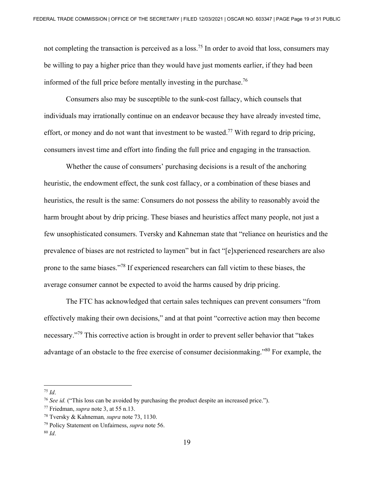not completing the transaction is perceived as a loss.<sup>75</sup> In order to avoid that loss, consumers may be willing to pay a higher price than they would have just moments earlier, if they had been informed of the full price before mentally investing in the purchase.<sup>76</sup>

Consumers also may be susceptible to the sunk-cost fallacy, which counsels that individuals may irrationally continue on an endeavor because they have already invested time, effort, or money and do not want that investment to be wasted.<sup>77</sup> With regard to drip pricing, consumers invest time and effort into finding the full price and engaging in the transaction.

Whether the cause of consumers' purchasing decisions is a result of the anchoring heuristic, the endowment effect, the sunk cost fallacy, or a combination of these biases and heuristics, the result is the same: Consumers do not possess the ability to reasonably avoid the harm brought about by drip pricing. These biases and heuristics affect many people, not just a few unsophisticated consumers. Tversky and Kahneman state that "reliance on heuristics and the prevalence of biases are not restricted to laymen" but in fact "[e]xperienced researchers are also prone to the same biases."78 If experienced researchers can fall victim to these biases, the average consumer cannot be expected to avoid the harms caused by drip pricing.

The FTC has acknowledged that certain sales techniques can prevent consumers "from effectively making their own decisions," and at that point "corrective action may then become necessary."79 This corrective action is brought in order to prevent seller behavior that "takes advantage of an obstacle to the free exercise of consumer decisionmaking.<sup>80</sup> For example, the

<sup>75</sup> *Id*.

<sup>76</sup> *See id.* ("This loss can be avoided by purchasing the product despite an increased price.").

<sup>77</sup> Friedman, *supra* note 3, at 55 n.13. 78 Tversky & Kahneman*, supra* note 73, 1130. 79 Policy Statement on Unfairness, *supra* note 56. 80 *Id*.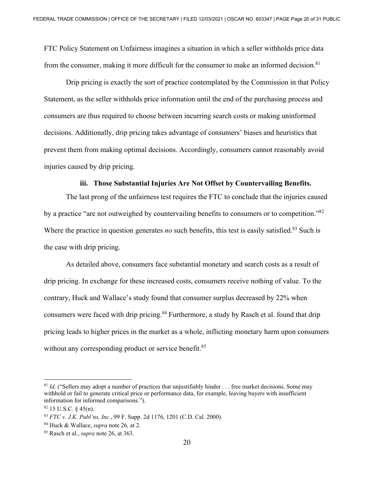FTC Policy Statement on Unfairness imagines a situation in which a seller withholds price data from the consumer, making it more difficult for the consumer to make an informed decision.<sup>81</sup>

Drip pricing is exactly the sort of practice contemplated by the Commission in that Policy Statement, as the seller withholds price information until the end of the purchasing process and consumers are thus required to choose between incurring search costs or making uninformed decisions. Additionally, drip pricing takes advantage of consumers' biases and heuristics that prevent them from making optimal decisions. Accordingly, consumers cannot reasonably avoid injuries caused by drip pricing.

### **iii. Those Substantial Injuries Are Not Offset by Countervailing Benefits.**

The last prong of the unfairness test requires the FTC to conclude that the injuries caused by a practice "are not outweighed by countervailing benefits to consumers or to competition."<sup>82</sup> Where the practice in question generates *no* such benefits, this test is easily satisfied.<sup>83</sup> Such is the case with drip pricing.

 As detailed above, consumers face substantial monetary and search costs as a result of drip pricing. In exchange for these increased costs, consumers receive nothing of value. To the contrary, Huck and Wallace's study found that consumer surplus decreased by 22% when consumers were faced with drip pricing.<sup>84</sup> Furthermore, a study by Rasch et al. found that drip pricing leads to higher prices in the market as a whole, inflicting monetary harm upon consumers without any corresponding product or service benefit.<sup>85</sup>

<sup>&</sup>lt;sup>81</sup> *Id.* ("Sellers may adopt a number of practices that unjustifiably hinder . . . free market decisions. Some may withhold or fail to generate critical price or performance data, for example, leaving buyers with insufficient information for informed comparisons.").

 $82$  15 U.S.C.  $\frac{2}{3}$  45(n).

<sup>83</sup> *FTC v. J.K. Publ'ns, Inc.*, 99 F. Supp. 2d 1176, 1201 (C.D. Cal. 2000). 84 Huck & Wallace, *supra* note 26*,* at 2. 85 Rasch et al., *supra* note 26, at 363.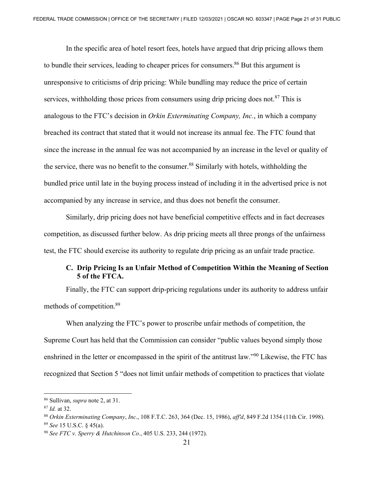In the specific area of hotel resort fees, hotels have argued that drip pricing allows them to bundle their services, leading to cheaper prices for consumers.<sup>86</sup> But this argument is unresponsive to criticisms of drip pricing: While bundling may reduce the price of certain services, withholding those prices from consumers using drip pricing does not.<sup>87</sup> This is analogous to the FTC's decision in *Orkin Exterminating Company, Inc.*, in which a company breached its contract that stated that it would not increase its annual fee. The FTC found that since the increase in the annual fee was not accompanied by an increase in the level or quality of the service, there was no benefit to the consumer.<sup>88</sup> Similarly with hotels, withholding the bundled price until late in the buying process instead of including it in the advertised price is not accompanied by any increase in service, and thus does not benefit the consumer.

Similarly, drip pricing does not have beneficial competitive effects and in fact decreases competition, as discussed further below. As drip pricing meets all three prongs of the unfairness test, the FTC should exercise its authority to regulate drip pricing as an unfair trade practice.

### **C. Drip Pricing Is an Unfair Method of Competition Within the Meaning of Section 5 of the FTCA.**

Finally, the FTC can support drip-pricing regulations under its authority to address unfair methods of competition.89

 When analyzing the FTC's power to proscribe unfair methods of competition, the Supreme Court has held that the Commission can consider "public values beyond simply those enshrined in the letter or encompassed in the spirit of the antitrust law."90 Likewise, the FTC has recognized that Section 5 "does not limit unfair methods of competition to practices that violate

<sup>86</sup> Sullivan, *supra* note 2, at 31.

<sup>&</sup>lt;sup>87</sup> Id. at 32.<br><sup>88</sup> Orkin Exterminating Company, Inc., 108 F.T.C. 263, 364 (Dec. 15, 1986), aff'd, 849 F.2d 1354 (11th Cir. 1998).<br><sup>89</sup> See 15 U.S.C. § 45(a).<br><sup>90</sup> See FTC v. Sperry & Hutchinson Co., 405 U.S. 233, 244 (1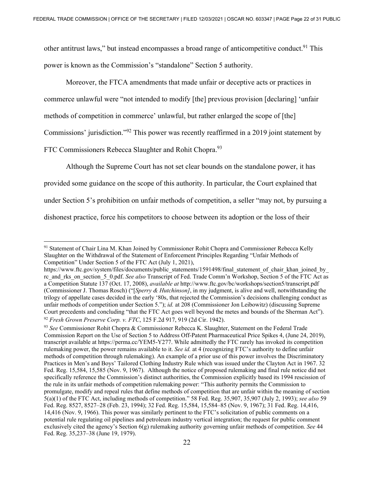other antitrust laws," but instead encompasses a broad range of anticompetitive conduct.<sup>91</sup> This power is known as the Commission's "standalone" Section 5 authority.

Moreover, the FTCA amendments that made unfair or deceptive acts or practices in commerce unlawful were "not intended to modify [the] previous provision [declaring] 'unfair methods of competition in commerce' unlawful, but rather enlarged the scope of [the] Commissions' jurisdiction."92 This power was recently reaffirmed in a 2019 joint statement by FTC Commissioners Rebecca Slaughter and Rohit Chopra.<sup>93</sup>

Although the Supreme Court has not set clear bounds on the standalone power, it has provided some guidance on the scope of this authority. In particular, the Court explained that under Section 5's prohibition on unfair methods of competition, a seller "may not, by pursuing a dishonest practice, force his competitors to choose between its adoption or the loss of their

<sup>91</sup> Statement of Chair Lina M. Khan Joined by Commissioner Rohit Chopra and Commissioner Rebecca Kelly Slaughter on the Withdrawal of the Statement of Enforcement Principles Regarding "Unfair Methods of Competition" Under Section 5 of the FTC Act (July 1, 2021),

https://www.ftc.gov/system/files/documents/public\_statements/1591498/final\_statement\_of\_chair\_khan\_joined\_by rc\_and\_rks\_on\_section\_5\_0.pdf. *See also* Transcript of Fed. Trade Comm'n Workshop, Section 5 of the FTC Act as a Competition Statute 137 (Oct. 17, 2008), *available at* http://www.ftc.gov/bc/workshops/section5/transcript.pdf (Commissioner J. Thomas Rosch) ("[*Sperry & Hutchinson]*, in my judgment, is alive and well, notwithstanding the trilogy of appellate cases decided in the early '80s, that rejected the Commission's decisions challenging conduct as unfair methods of competition under Section 5."); *id.* at 208 (Commissioner Jon Leibowitz) (discussing Supreme Court precedents and concluding "that the FTC Act goes well beyond the metes and bounds of the Sherman Act"). <sup>92</sup> *Fresh Grown Preserve Corp. v. FTC*, 125 F.2d 917, 919 (2d Cir. 1942).<br><sup>93</sup> *See* Commissioner Rohit Chopra & Commissioner Rebecca K. Slaughter, Statement on the Federal Trade

Commission Report on the Use of Section 5 to Address Off-Patent Pharmaceutical Price Spikes 4, (June 24, 2019), transcript available at https://perma.cc/YEM5-Y277. While admittedly the FTC rarely has invoked its competition rulemaking power, the power remains available to it. *See id.* at 4 (recognizing FTC's authority to define unfair methods of competition through rulemaking). An example of a prior use of this power involves the Discriminatory Practices in Men's and Boys' Tailored Clothing Industry Rule which was issued under the Clayton Act in 1967. 32 Fed. Reg. 15,584, 15,585 (Nov. 9, 1967). Although the notice of proposed rulemaking and final rule notice did not specifically reference the Commission's distinct authorities, the Commission explicitly based its 1994 rescission of the rule in its unfair methods of competition rulemaking power: "This authority permits the Commission to promulgate, modify and repeal rules that define methods of competition that are unfair within the meaning of section 5(a)(1) of the FTC Act, including methods of competition." 58 Fed. Reg. 35,907, 35,907 (July 2, 1993); *see also* 59 Fed. Reg. 8527, 8527–28 (Feb. 23, 1994); 32 Fed. Reg. 15,584, 15,584–85 (Nov. 9, 1967); 31 Fed. Reg. 14,416, 14,416 (Nov. 9, 1966). This power was similarly pertinent to the FTC's solicitation of public comments on a potential rule regulating oil pipelines and petroleum industry vertical integration; the request for public comment exclusively cited the agency's Section 6(g) rulemaking authority governing unfair methods of competition. *See* 44 Fed. Reg. 35,237–38 (June 19, 1979).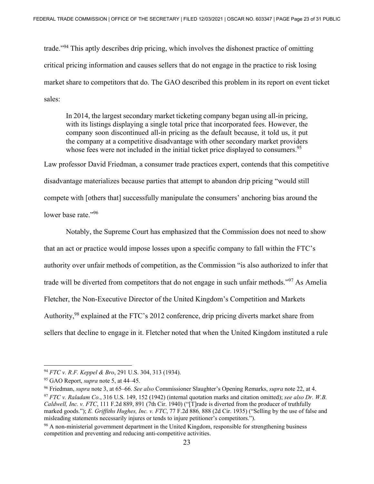trade."94 This aptly describes drip pricing, which involves the dishonest practice of omitting critical pricing information and causes sellers that do not engage in the practice to risk losing market share to competitors that do. The GAO described this problem in its report on event ticket sales:

In 2014, the largest secondary market ticketing company began using all-in pricing, with its listings displaying a single total price that incorporated fees. However, the company soon discontinued all-in pricing as the default because, it told us, it put the company at a competitive disadvantage with other secondary market providers whose fees were not included in the initial ticket price displayed to consumers.<sup>95</sup>

Law professor David Friedman, a consumer trade practices expert, contends that this competitive disadvantage materializes because parties that attempt to abandon drip pricing "would still compete with [others that] successfully manipulate the consumers' anchoring bias around the lower base rate."<sup>96</sup>

Notably, the Supreme Court has emphasized that the Commission does not need to show that an act or practice would impose losses upon a specific company to fall within the FTC's authority over unfair methods of competition, as the Commission "is also authorized to infer that trade will be diverted from competitors that do not engage in such unfair methods."<sup>97</sup> As Amelia Fletcher, the Non-Executive Director of the United Kingdom's Competition and Markets Authority,<sup>98</sup> explained at the FTC's 2012 conference, drip pricing diverts market share from sellers that decline to engage in it. Fletcher noted that when the United Kingdom instituted a rule

<sup>94</sup> *FTC v. R.F. Keppel & Bro*, 291 U.S. 304, 313 (1934).

<sup>95</sup> GAO Report, *supra* note 5, at 44–45.

<sup>&</sup>lt;sup>96</sup> Friedman, *supra* note 3, at 65–66. See also Commissioner Slaughter's Opening Remarks, *supra* note 22, at 4.<br><sup>97</sup> FTC v. Raladam Co., 316 U.S. 149, 152 (1942) (internal quotation marks and citation omitted); see also

*Caldwell, Inc. v. FTC*, 111 F.2d 889, 891 (7th Cir. 1940) ("[T]rade is diverted from the producer of truthfully marked goods."); *E. Griffiths Hughes, Inc. v. FTC*, 77 F.2d 886*,* 888 (2d Cir. 1935) ("Selling by the use of false and misleading statements necessarily injures or tends to injure petitioner's competitors.").<br><sup>98</sup> A non-ministerial government department in the United Kingdom, responsible for strengthening business

competition and preventing and reducing anti-competitive activities.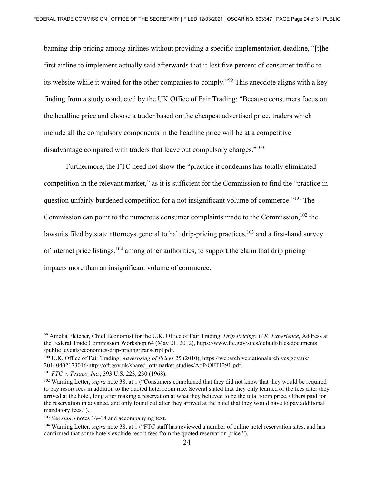banning drip pricing among airlines without providing a specific implementation deadline, "[t]he first airline to implement actually said afterwards that it lost five percent of consumer traffic to its website while it waited for the other companies to comply."99 This anecdote aligns with a key finding from a study conducted by the UK Office of Fair Trading: "Because consumers focus on the headline price and choose a trader based on the cheapest advertised price, traders which include all the compulsory components in the headline price will be at a competitive disadvantage compared with traders that leave out compulsory charges."<sup>100</sup>

Furthermore, the FTC need not show the "practice it condemns has totally eliminated competition in the relevant market," as it is sufficient for the Commission to find the "practice in question unfairly burdened competition for a not insignificant volume of commerce."<sup>101</sup> The Commission can point to the numerous consumer complaints made to the Commission,  $102$  the lawsuits filed by state attorneys general to halt drip-pricing practices,<sup>103</sup> and a first-hand survey of internet price listings,  $104$  among other authorities, to support the claim that drip pricing impacts more than an insignificant volume of commerce.

<sup>99</sup> Amelia Fletcher, Chief Economist for the U.K. Office of Fair Trading, *Drip Pricing: U.K. Experience*, Address at the Federal Trade Commission Workshop 64 (May 21, 2012), https://www.ftc.gov/sites/default/files/documents /public\_events/economics-drip-pricing/transcript.pdf.

<sup>100</sup> U.K. Office of Fair Trading, *Advertising of Prices* 25 (2010), https://webarchive.nationalarchives.gov.uk/ 20140402173016/http://oft.gov.uk/shared\_oft/market-studies/AoP/OFT1291.pdf.<br><sup>101</sup> *FTC v. Texaco, Inc.*, 393 U.S. 223, 230 (1968).<br><sup>102</sup> Warning Letter, *supra* note 38, at 1 ("Consumers complained that they did not know t

to pay resort fees in addition to the quoted hotel room rate. Several stated that they only learned of the fees after they arrived at the hotel, long after making a reservation at what they believed to be the total room price. Others paid for the reservation in advance, and only found out after they arrived at the hotel that they would have to pay additional mandatory fees.").

<sup>&</sup>lt;sup>103</sup> *See supra* notes 16–18 and accompanying text.<br><sup>104</sup> Warning Letter, *supra* note 38, at 1 ("FTC staff has reviewed a number of online hotel reservation sites, and has confirmed that some hotels exclude resort fees from the quoted reservation price.").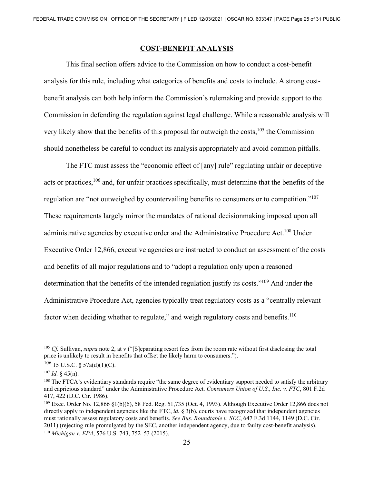### **COST-BENEFIT ANALYSIS**

 This final section offers advice to the Commission on how to conduct a cost-benefit analysis for this rule, including what categories of benefits and costs to include. A strong costbenefit analysis can both help inform the Commission's rulemaking and provide support to the Commission in defending the regulation against legal challenge. While a reasonable analysis will very likely show that the benefits of this proposal far outweigh the costs, $105$  the Commission should nonetheless be careful to conduct its analysis appropriately and avoid common pitfalls.

 The FTC must assess the "economic effect of [any] rule" regulating unfair or deceptive acts or practices,<sup>106</sup> and, for unfair practices specifically, must determine that the benefits of the regulation are "not outweighed by countervailing benefits to consumers or to competition."107 These requirements largely mirror the mandates of rational decisionmaking imposed upon all administrative agencies by executive order and the Administrative Procedure Act.<sup>108</sup> Under Executive Order 12,866, executive agencies are instructed to conduct an assessment of the costs and benefits of all major regulations and to "adopt a regulation only upon a reasoned determination that the benefits of the intended regulation justify its costs."<sup>109</sup> And under the Administrative Procedure Act, agencies typically treat regulatory costs as a "centrally relevant factor when deciding whether to regulate," and weigh regulatory costs and benefits. $110$ 

<sup>&</sup>lt;sup>105</sup> *Cf.* Sullivan, *supra* note 2, at v ("[S]eparating resort fees from the room rate without first disclosing the total price is unlikely to result in benefits that offset the likely harm to consumers.").

 $106$  15 U.S.C. § 57a(d)(1)(C).

<sup>&</sup>lt;sup>107</sup> *Id.* § 45(n).<br><sup>108</sup> The FTCA's evidentiary standards require "the same degree of evidentiary support needed to satisfy the arbitrary and capricious standard" under the Administrative Procedure Act. *Consumers Union of U.S., Inc. v. FTC*, 801 F.2d 417, 422 (D.C. Cir. 1986).

<sup>109</sup> Exec. Order No. 12,866 §1(b)(6), 58 Fed. Reg. 51,735 (Oct. 4, 1993). Although Executive Order 12,866 does not directly apply to independent agencies like the FTC, *id.* § 3(b), courts have recognized that independent agencies must rationally assess regulatory costs and benefits. *See Bus. Roundtable v. SEC*, 647 F.3d 1144, 1149 (D.C. Cir. 2011) (rejecting rule promulgated by the SEC, another independent agency, due to faulty cost-benefit analysis).

<sup>110</sup> *Michigan v. EPA*, 576 U.S. 743, 752–53 (2015).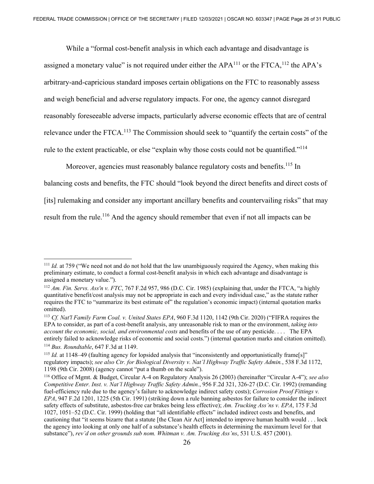While a "formal cost-benefit analysis in which each advantage and disadvantage is assigned a monetary value" is not required under either the  $APA^{111}$  or the FTCA,  $112$  the APA's arbitrary-and-capricious standard imposes certain obligations on the FTC to reasonably assess and weigh beneficial and adverse regulatory impacts. For one, the agency cannot disregard reasonably foreseeable adverse impacts, particularly adverse economic effects that are of central relevance under the FTCA.<sup>113</sup> The Commission should seek to "quantify the certain costs" of the rule to the extent practicable, or else "explain why those costs could not be quantified."<sup>114</sup>

Moreover, agencies must reasonably balance regulatory costs and benefits.<sup>115</sup> In balancing costs and benefits, the FTC should "look beyond the direct benefits and direct costs of [its] rulemaking and consider any important ancillary benefits and countervailing risks" that may result from the rule.<sup>116</sup> And the agency should remember that even if not all impacts can be

<sup>&</sup>lt;sup>111</sup> *Id.* at 759 ("We need not and do not hold that the law unambiguously required the Agency, when making this preliminary estimate, to conduct a formal cost-benefit analysis in which each advantage and disadvantage is assigned a monetary value.").

<sup>112</sup> *Am. Fin. Servs. Ass'n v. FTC*, 767 F.2d 957, 986 (D.C. Cir. 1985) (explaining that, under the FTCA, "a highly quantitative benefit/cost analysis may not be appropriate in each and every individual case," as the statute rather requires the FTC to "summarize its best estimate of" the regulation's economic impact) (internal quotation marks omitted).

<sup>113</sup> *Cf. Nat'l Family Farm Coal. v. United States EPA*, 960 F.3d 1120, 1142 (9th Cir. 2020) ("FIFRA requires the EPA to consider, as part of a cost-benefit analysis, any unreasonable risk to man or the environment, *taking into account the economic, social, and environmental costs* and benefits of the use of any pesticide. . . . The EPA entirely failed to acknowledge risks of economic and social costs.") (internal quotation marks and citation omitted). 114 *Bus. Roundtable*, 647 F.3d at 1149.

<sup>&</sup>lt;sup>115</sup> *Id.* at 1148–49 (faulting agency for lopsided analysis that "inconsistently and opportunistically frame[s]" regulatory impacts); *see also Ctr. for Biological Diversity v. Nat'l Highway Traffic Safety Admin.*, 538 F.3d 1172, 1198 (9th Cir. 2008) (agency cannot "put a thumb on the scale").

<sup>116</sup> Office of Mgmt. & Budget, Circular A-4 on Regulatory Analysis 26 (2003) (hereinafter "Circular A-4"); *see also Competitive Enter. Inst. v. Nat'l Highway Traffic Safety Admin.*, 956 F.2d 321, 326-27 (D.C. Cir. 1992) (remanding fuel-efficiency rule due to the agency's failure to acknowledge indirect safety costs); *Corrosion Proof Fittings v. EPA*, 947 F.2d 1201, 1225 (5th Cir. 1991) (striking down a rule banning asbestos for failure to consider the indirect safety effects of substitute, asbestos-free car brakes being less effective); *Am. Trucking Ass'ns v. EPA*, 175 F.3d 1027, 1051–52 (D.C. Cir. 1999) (holding that "all identifiable effects" included indirect costs and benefits, and cautioning that "it seems bizarre that a statute [the Clean Air Act] intended to improve human health would . . . lock the agency into looking at only one half of a substance's health effects in determining the maximum level for that substance"), *rev'd on other grounds sub nom. Whitman v. Am. Trucking Ass'ns*, 531 U.S. 457 (2001).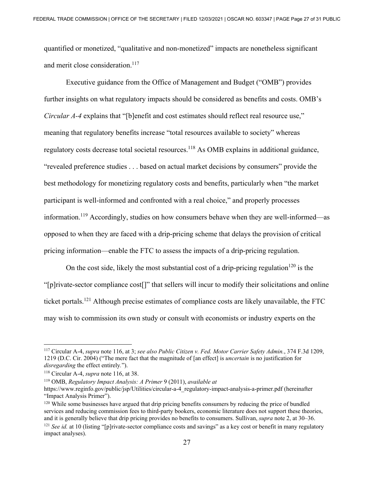quantified or monetized, "qualitative and non-monetized" impacts are nonetheless significant and merit close consideration.<sup>117</sup>

 Executive guidance from the Office of Management and Budget ("OMB") provides further insights on what regulatory impacts should be considered as benefits and costs. OMB's *Circular A-4* explains that "[b]enefit and cost estimates should reflect real resource use," meaning that regulatory benefits increase "total resources available to society" whereas regulatory costs decrease total societal resources.<sup>118</sup> As OMB explains in additional guidance, "revealed preference studies . . . based on actual market decisions by consumers" provide the best methodology for monetizing regulatory costs and benefits, particularly when "the market participant is well-informed and confronted with a real choice," and properly processes information.<sup>119</sup> Accordingly, studies on how consumers behave when they are well-informed—as opposed to when they are faced with a drip-pricing scheme that delays the provision of critical pricing information—enable the FTC to assess the impacts of a drip-pricing regulation.

On the cost side, likely the most substantial cost of a drip-pricing regulation<sup>120</sup> is the "[p]rivate-sector compliance cost[]" that sellers will incur to modify their solicitations and online ticket portals.121 Although precise estimates of compliance costs are likely unavailable, the FTC may wish to commission its own study or consult with economists or industry experts on the

<sup>117</sup> Circular A-4, *supra* note 116, at 3; *see also Public Citizen v. Fed. Motor Carrier Safety Admin.*, 374 F.3d 1209, 1219 (D.C. Cir. 2004) ("The mere fact that the magnitude of [an effect] is *uncertain* is no justification for *disregarding* the effect entirely.").<br><sup>118</sup> Circular A-4, *supra* note 116, at 38.<br><sup>119</sup> OMB, *Regulatory Impact Analysis: A Primer* 9 (2011), *available at* 

https://www.reginfo.gov/public/jsp/Utilities/circular-a-4\_regulatory-impact-analysis-a-primer.pdf (hereinafter "Impact Analysis Primer").

 $120$  While some businesses have argued that drip pricing benefits consumers by reducing the price of bundled services and reducing commission fees to third-party bookers, economic literature does not support these theories, and it is generally believe that drip pricing provides no benefits to consumers. Sullivan, *supra* note 2, at 30–36.<br><sup>121</sup> See id. at 10 (listing "[p]rivate-sector compliance costs and savings" as a key cost or benefit in impact analyses).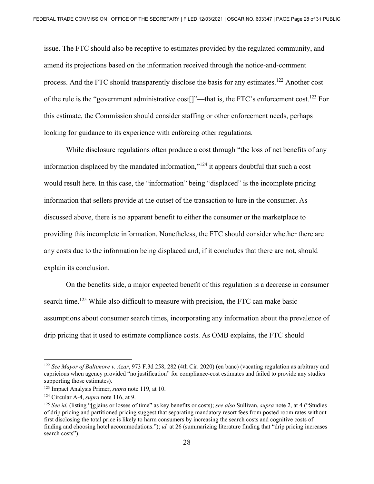issue. The FTC should also be receptive to estimates provided by the regulated community, and amend its projections based on the information received through the notice-and-comment process. And the FTC should transparently disclose the basis for any estimates.<sup>122</sup> Another cost of the rule is the "government administrative cost[]"—that is, the FTC's enforcement cost.123 For this estimate, the Commission should consider staffing or other enforcement needs, perhaps looking for guidance to its experience with enforcing other regulations.

While disclosure regulations often produce a cost through "the loss of net benefits of any information displaced by the mandated information, $v^{124}$  it appears doubtful that such a cost would result here. In this case, the "information" being "displaced" is the incomplete pricing information that sellers provide at the outset of the transaction to lure in the consumer. As discussed above, there is no apparent benefit to either the consumer or the marketplace to providing this incomplete information. Nonetheless, the FTC should consider whether there are any costs due to the information being displaced and, if it concludes that there are not, should explain its conclusion.

 On the benefits side, a major expected benefit of this regulation is a decrease in consumer search time.<sup>125</sup> While also difficult to measure with precision, the FTC can make basic assumptions about consumer search times, incorporating any information about the prevalence of drip pricing that it used to estimate compliance costs. As OMB explains, the FTC should

<sup>122</sup> *See Mayor of Baltimore v. Azar*, 973 F.3d 258, 282 (4th Cir. 2020) (en banc) (vacating regulation as arbitrary and capricious when agency provided "no justification" for compliance-cost estimates and failed to provide any studies supporting those estimates).

<sup>123</sup> Impact Analysis Primer, *supra* note 119, at 10.

<sup>&</sup>lt;sup>124</sup> Circular A-4, *supra* note 116, at 9.<br><sup>125</sup> *See id.* (listing "[g]ains or losses of time" as key benefits or costs); *see also* Sullivan, *supra* note 2, at 4 ("Studies of drip pricing and partitioned pricing suggest that separating mandatory resort fees from posted room rates without first disclosing the total price is likely to harm consumers by increasing the search costs and cognitive costs of finding and choosing hotel accommodations."); *id.* at 26 (summarizing literature finding that "drip pricing increases search costs").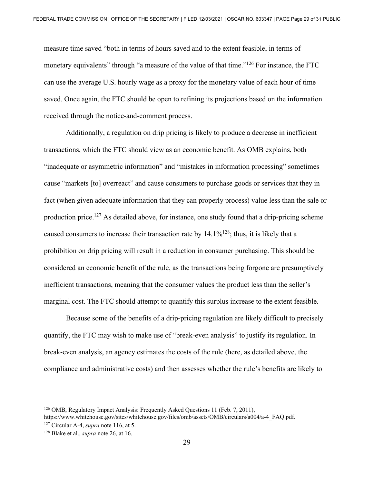measure time saved "both in terms of hours saved and to the extent feasible, in terms of monetary equivalents" through "a measure of the value of that time."<sup>126</sup> For instance, the FTC can use the average U.S. hourly wage as a proxy for the monetary value of each hour of time saved. Once again, the FTC should be open to refining its projections based on the information received through the notice-and-comment process.

 Additionally, a regulation on drip pricing is likely to produce a decrease in inefficient transactions, which the FTC should view as an economic benefit. As OMB explains, both "inadequate or asymmetric information" and "mistakes in information processing" sometimes cause "markets [to] overreact" and cause consumers to purchase goods or services that they in fact (when given adequate information that they can properly process) value less than the sale or production price.<sup>127</sup> As detailed above, for instance, one study found that a drip-pricing scheme caused consumers to increase their transaction rate by  $14.1\%$ <sup>128</sup>; thus, it is likely that a prohibition on drip pricing will result in a reduction in consumer purchasing. This should be considered an economic benefit of the rule, as the transactions being forgone are presumptively inefficient transactions, meaning that the consumer values the product less than the seller's marginal cost. The FTC should attempt to quantify this surplus increase to the extent feasible.

 Because some of the benefits of a drip-pricing regulation are likely difficult to precisely quantify, the FTC may wish to make use of "break-even analysis" to justify its regulation. In break-even analysis, an agency estimates the costs of the rule (here, as detailed above, the compliance and administrative costs) and then assesses whether the rule's benefits are likely to

<sup>126</sup> OMB, Regulatory Impact Analysis: Frequently Asked Questions 11 (Feb. 7, 2011), https://www.whitehouse.gov/sites/whitehouse.gov/files/omb/assets/OMB/circulars/a004/a-4\_FAQ.pdf. 127 Circular A-4, *supra* note 116, at 5. 128 Blake et al., *supra* note 26, at 16.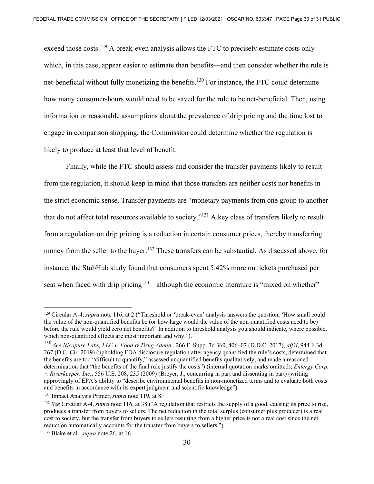exceed those costs.<sup>129</sup> A break-even analysis allows the FTC to precisely estimate costs only which, in this case, appear easier to estimate than benefits—and then consider whether the rule is net-beneficial without fully monetizing the benefits.<sup>130</sup> For instance, the FTC could determine how many consumer-hours would need to be saved for the rule to be net-beneficial. Then, using information or reasonable assumptions about the prevalence of drip pricing and the time lost to engage in comparison shopping, the Commission could determine whether the regulation is likely to produce at least that level of benefit.

 Finally, while the FTC should assess and consider the transfer payments likely to result from the regulation, it should keep in mind that those transfers are neither costs nor benefits in the strict economic sense. Transfer payments are "monetary payments from one group to another that do not affect total resources available to society."131 A key class of transfers likely to result from a regulation on drip pricing is a reduction in certain consumer prices, thereby transferring money from the seller to the buyer.<sup>132</sup> These transfers can be substantial. As discussed above, for instance, the StubHub study found that consumers spent 5.42% more on tickets purchased per seat when faced with drip pricing<sup>133</sup>—although the economic literature is "mixed on whether"

<sup>129</sup> Circular A-4, *supra* note 116, at 2 ("Threshold or 'break-even' analysis answers the question, 'How small could the value of the non-quantified benefits be (or how large would the value of the non-quantified costs need to be) before the rule would yield zero net benefits?' In addition to threshold analysis you should indicate, where possible, which non-quantified effects are most important and why.").

<sup>130</sup> *See Nicopure Labs, LLC v. Food & Drug Admin.*, 266 F. Supp. 3d 360, 406–07 (D.D.C. 2017), *aff'd*, 944 F.3d 267 (D.C. Cir. 2019) (upholding FDA disclosure regulation after agency quantified the rule's costs, determined that the benefits are too "difficult to quantify," assessed unquantified benefits qualitatively, and made a reasoned determination that "the benefits of the final rule justify the costs") (internal quotation marks omitted); *Entergy Corp. v. Riverkeeper, Inc.*, 556 U.S. 208, 235 (2009) (Breyer, J., concurring in part and dissenting in part) (writing approvingly of EPA's ability to "describe environmental benefits in non-monetized terms and to evaluate both costs and benefits in accordance with its expert judgment and scientific knowledge"). 131 Impact Analysis Primer, *supra* note 119, at 8.

<sup>132</sup> *See* Circular A-4, *supra* note 116, at 38 ("A regulation that restricts the supply of a good, causing its price to rise, produces a transfer from buyers to sellers. The net reduction in the total surplus (consumer plus producer) is a real cost to society, but the transfer from buyers to sellers resulting from a higher price is not a real cost since the net reduction automatically accounts for the transfer from buyers to sellers."). 133 Blake et al., *supra* note 26, at 16.